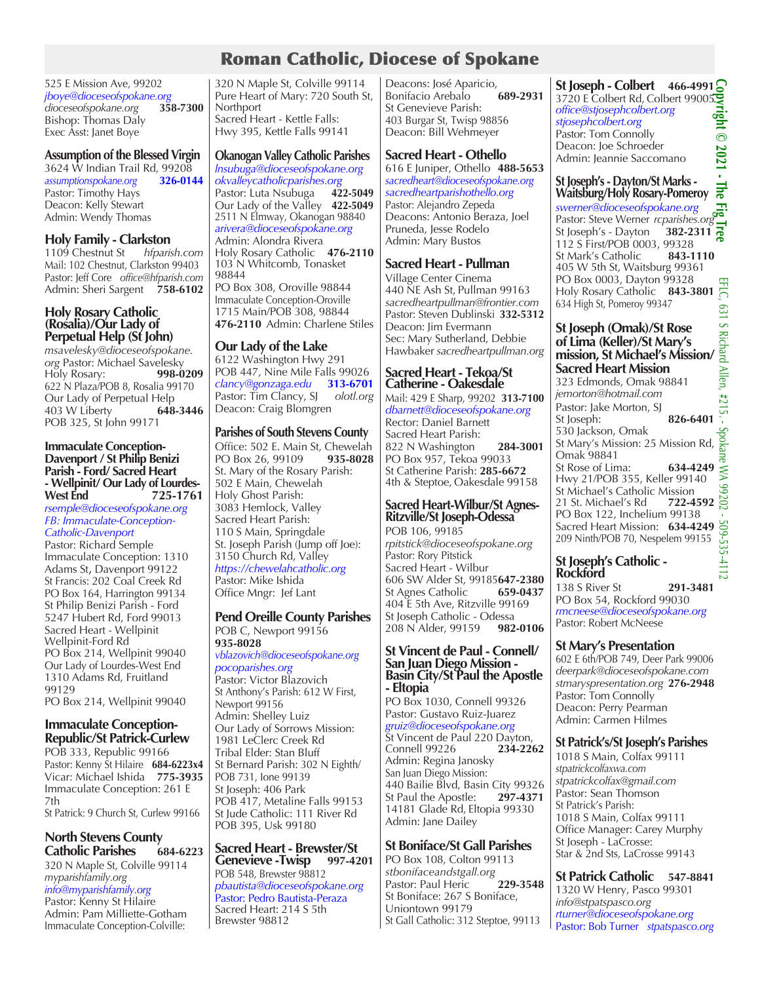# Roman Catholic, Diocese of Spokane

525 E Mission Ave, 99202 *jboye@dioceseofspokane.org dioceseofspokane.org* **358-7300** Bishop: Thomas Daly Exec Asst: Janet Boye

#### **Assumption of the Blessed Virgin**

3624 W Indian Trail Rd, 99208 *assumptionspokane.org* **326-0144** Pastor: Timothy Hays Deacon: Kelly Stewart Admin: Wendy Thomas

**Holy Family - Clarkston**<br>1109 Chestnut St hfparish.com 1109 Chestnut St *hfparish.com* Mail: 102 Chestnut, Clarkston 99403 Pastor: Jeff Core *office@hfparish.com* Admin: Sheri Sargent **758-6102**

#### **Holy Rosary Catholic (Rosalia)/Our Lady of Perpetual Help (St John)**

*msavelesky@dioceseofspokane. org Pastor: Michael Savelesky*<br>Holy Rosary: **998-0209** Holy Rosary: 622 N Plaza/POB 8, Rosalia 99170 Our Lady of Perpetual Help<br>403 W Liberty 648-3446 403 W Liberty POB 325, St John 99171

# **Immaculate Conception-**Parish - Ford/ Sacred Heart **- Wellpinit/ Our Lady of Lourdes-West End 725-1761**

*rsemple@dioceseofspokane.org FB: Immaculate-Conception-Catholic-Davenport*

Pastor: Richard Semple Immaculate Conception: 1310 Adams St, Davenport 99122 St Francis: 202 Coal Creek Rd PO Box 164, Harrington 99134 St Philip Benizi Parish - Ford 5247 Hubert Rd, Ford 99013 Sacred Heart - Wellpinit Wellpinit-Ford Rd PO Box 214, Wellpinit 99040 Our Lady of Lourdes-West End 1310 Adams Rd, Fruitland 99129

PO Box 214, Wellpinit 99040

#### **Immaculate Conception-Republic/St Patrick-Curlew**

POB 333, Republic 99166 Pastor: Kenny St Hilaire **684-6223x4** Vicar: Michael Ishida **775-3935** Immaculate Conception: 261 E 7th

St Patrick: 9 Church St, Curlew 99166

#### **North Stevens County Catholic Parishes 684-6223**

320 N Maple St, Colville 99114 *myparishfamily.org info@myparishfamily.org*

Pastor: Kenny St Hilaire Admin: Pam Milliette-Gotham Immaculate Conception-Colville:

320 N Maple St, Colville 99114 Pure Heart of Mary: 720 South St, **Northport** Sacred Heart - Kettle Falls: Hwy 395, Kettle Falls 99141

#### **Okanogan Valley Catholic Parishes** *lnsubuga@dioceseofspokane.org okvalleycatholicparishes.org* Pastor: Luta Nsubuga **422-5049** Our Lady of the Valley **422-5049** 2511 N Elmway, Okanogan 98840 *arivera@dioceseofspokane.org* Admin: Alondra Rivera Holy Rosary Catholic **476-2110** 103 N Whitcomb, Tonasket 98844

PO Box 308, Oroville 98844 Immaculate Conception-Oroville 1715 Main/POB 308, 98844 **476-2110** Admin: Charlene Stiles

#### **Our Lady of the Lake**

6122 Washington Hwy 291 POB 447, Nine Mile Falls 99026 *clancy@gonzaga.edu* **313-6701** Pastor: Tim Clancy, SJ olotl.org Deacon: Craig Blomgren

#### **Parishes of South Stevens County**

Office: 502 E. Main St, Chewelah<br>PO Box 26, 99109 935-8028 PO Box 26, 99109 St. Mary of the Rosary Parish: 502 E Main, Chewelah Holy Ghost Parish: 3083 Hemlock, Valley Sacred Heart Parish: 110 S Main, Springdale St. Joseph Parish (Jump off Joe): 3150 Church Rd, Valley *https://chewelahcatholic.org*  Pastor: Mike Ishida Office Mngr: Jef Lant

#### **Pend Oreille County Parishes** POB C, Newport 99156 **935-8028**

*vblazovich@dioceseofspokane.org pocoparishes.org* Pastor: Victor Blazovich St Anthony's Parish: 612 W First, Newport 99156 Admin: Shelley Luiz Our Lady of Sorrows Mission: 1981 LeClerc Creek Rd Tribal Elder: Stan Bluff St Bernard Parish: 302 N Eighth/ POB 731, Ione 99139

St Joseph: 406 Park POB 417, Metaline Falls 99153 St Jude Catholic: 111 River Rd POB 395, Usk 99180

# **Sacred Heart - Brewster/St Genevieve -Twisp 997-4201**

POB 548, Brewster 98812 *pbautista@dioceseofspokane.org*  Pastor: Pedro Bautista-Peraza Sacred Heart: 214 S 5th Brewster 98812

Deacons: José Aparicio,<br>Bonifacio Arebalo **689-2931 Bonifacio Arebalo** St Genevieve Parish: 403 Burgar St, Twisp 98856 Deacon: Bill Wehmeyer

# **Sacred Heart - Othello**

616 E Juniper, Othello **488-5653** *sacredheart@dioceseofspokane.org sacredheartparishothello.org*  Pastor: Alejandro Zepeda Deacons: Antonio Beraza, Joel Pruneda, Jesse Rodelo Admin: Mary Bustos

# **Sacred Heart - Pullman**

Village Center Cinema 440 NE Ash St, Pullman 99163 *sacredheartpullman@frontier.com*  Pastor: Steven Dublinski **332-5312** Deacon: Jim Evermann Sec: Mary Sutherland, Debbie Hawbaker *sacredheartpullman.org*

#### **Sacred Heart - Tekoa/St Catherine - Oakesdale**

Mail: 429 E Sharp, 99202 **313-7100** *dbarnett@dioceseofspokane.org* Rector: Daniel Barnett

Sacred Heart Parish: 822 N Washington **284-3001** PO Box 957, Tekoa 99033 St Catherine Parish: **285-6672** 4th & Steptoe, Oakesdale 99158

# **Sacred Heart-Wilbur/St Agnes-Ritzville/St Joseph-Odessa**

POB 106, 99185 *rpitstick@dioceseofspokane.org* Pastor: Rory Pitstick Sacred Heart - Wilbur 606 SW Alder St, 99185**647-2380** St Agnes Catholic **659-0437** 404 E 5th Ave, Ritzville 99169 St Joseph Catholic - Odessa 208 N Alder, 99159 **982-0106**

#### **St Vincent de Paul - Connell/ San Juan Diego Mission - Basin City/St Paul the Apostle - Eltopia**

PO Box 1030, Connell 99326 Pastor: Gustavo Ruiz-Juarez *gruiz@dioceseofspokane.org* St Vincent de Paul 220 Dayton, Connell 99226 **234-2262**  Admin: Regina Janosky San Juan Diego Mission: 440 Bailie Blvd, Basin City 99326<br>St Paul the Apostle: 297-4371 St Paul the Apostle: 14181 Glade Rd, Eltopia 99330 Admin: Jane Dailey

# **St Boniface/St Gall Parishes**

PO Box 108, Colton 99113 *stbonifaceandstgall.org* Pastor: Paul Heric St Boniface: 267 S Boniface, Uniontown 99179 St Gall Catholic: 312 Steptoe, 99113

**St Joseph - Colbert 466-4991 Copyright © 2021 - The Fig Tree** 3720 E Colbert Rd, Colbert 99005 *office@stjosephcolbert.org stjosephcolbert.org* Pastor: Tom Connolly Deacon: Joe Schroeder  $2021 -$ Admin: Jeannie Saccomano

#### **St Joseph's - Dayton/St Marks -**  뉧 **Waitsburg/Holy Rosary-Pomeroy**

*swerner@dioceseofspokane.org* E. Pastor: Steve Werner *rcparishes.org*<br>St Joseph's - Dayton **382-2311** St Joseph's - Dayton 112 S First/POB 0003, 99328 St Mark's Catholic **843-1110** 405 W 5th St, Waitsburg 99361 PO Box 0003, Dayton 99328 Holy Rosary Catholic **843-3801** 634 High St, Pomeroy 99347

# **St Joseph (Omak)/St Rose of Lima (Keller)/St Mary's mission, St Michael's Mission/ Sacred Heart Mission**

323 Edmonds, Omak 98841 *jemorton@hotmail.com* Pastor: Jake Morton, SJ **826-6401**<br>St Joseph: **826-6401**<br>530 Jackson, Omak<br>St Mary's Mission: 25 Mission Rd,  $\frac{55}{6}$ 530 Jackson, Omak St Mary's Mission: 25 Mission Rd, Omak 98841 St Rose of Lima: **634-4249** Hwy 21/POB 355, Keller 99140 St Michael's Catholic Mission<br>21 St. Michael's Rd 722-4592 21 St. Michael's Rd PO Box 122, Inchelium 99138 Sacred Heart Mission: **634-4249** 209 Ninth/POB 70, Nespelem 99155

# **St Joseph's Catholic - Rockford**

138 S River St **291-3481** PO Box 54, Rockford 99030 *rmcneese@dioceseofspokane.org* Pastor: Robert McNeese

# **St Mary's Presentation**

602 E 6th/POB 749, Deer Park 99006 *deerpark@dioceseofspokane.com stmaryspresentation.org* **276-2948** Pastor: Tom Connolly Deacon: Perry Pearman Admin: Carmen Hilmes

# **St Patrick's/St Joseph's Parishes**

1018 S Main, Colfax 99111 *stpatrickcolfaxwa.com stpatrickcolfax@gmail.com* Pastor: Sean Thomson St Patrick's Parish: 1018 S Main, Colfax 99111 Office Manager: Carey Murphy St Joseph - LaCrosse: Star & 2nd Sts, LaCrosse 99143

# **St Patrick Catholic 547-8841**

1320 W Henry, Pasco 99301 *info@stpatspasco.org rturner@dioceseofspokane.org*  Pastor: Bob Turner *stpatspasco.org*